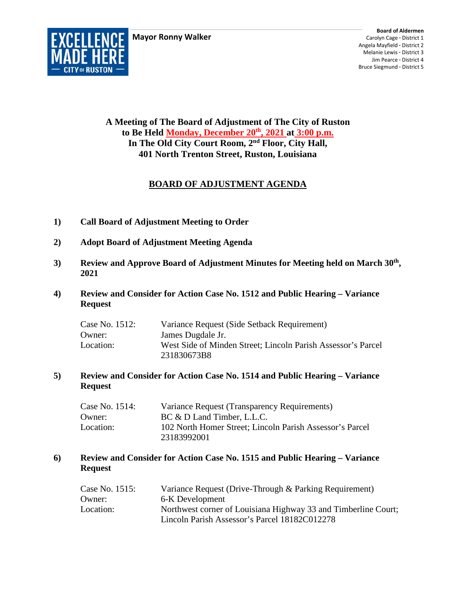**Mayor Ronny Walker**



**A Meeting of The Board of Adjustment of The City of Ruston to Be Held Monday, December 20th, 2021 at 3:00 p.m. In The Old City Court Room, 2nd Floor, City Hall, 401 North Trenton Street, Ruston, Louisiana**

# **BOARD OF ADJUSTMENT AGENDA**

- **1) Call Board of Adjustment Meeting to Order**
- **2) Adopt Board of Adjustment Meeting Agenda**
- **3) Review and Approve Board of Adjustment Minutes for Meeting held on March 30th, 2021**
- **4) Review and Consider for Action Case No. 1512 and Public Hearing – Variance Request**

| Case No. 1512: | Variance Request (Side Setback Requirement)                  |
|----------------|--------------------------------------------------------------|
| Owner:         | James Dugdale Jr.                                            |
| Location:      | West Side of Minden Street; Lincoln Parish Assessor's Parcel |
|                | 231830673B8                                                  |

#### **5) Review and Consider for Action Case No. 1514 and Public Hearing – Variance Request**

| Case No. 1514: | Variance Request (Transparency Requirements)             |
|----------------|----------------------------------------------------------|
| Owner:         | BC & D Land Timber, L.L.C.                               |
| Location:      | 102 North Homer Street; Lincoln Parish Assessor's Parcel |
|                | 23183992001                                              |

### **6) Review and Consider for Action Case No. 1515 and Public Hearing – Variance Request**

| Case No. 1515: | Variance Request (Drive-Through & Parking Requirement)         |
|----------------|----------------------------------------------------------------|
| Owner:         | 6-K Development                                                |
| Location:      | Northwest corner of Louisiana Highway 33 and Timberline Court; |
|                | Lincoln Parish Assessor's Parcel 18182C012278                  |